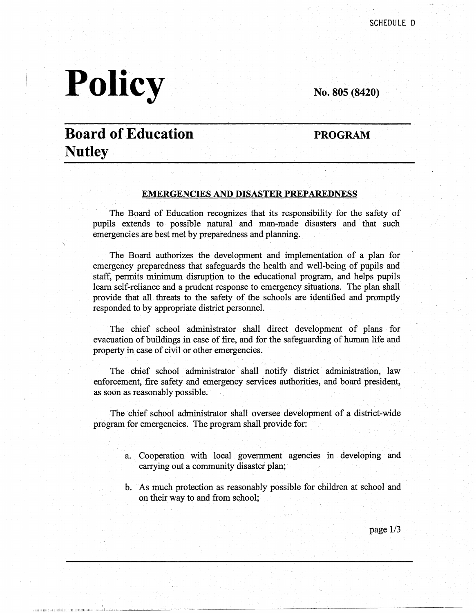# **Policy**

**No. 805 (8420)** 

## **Board of Education Nutley**

**PROGRAM** 

#### **EMERGENCIES AND DISASTER PREPAREDNESS**

The Board of Education recognizes that its responsibility for the safety of pupils extends to possible natural and man-made disasters and that such emergencies are best met by preparedness and planning.

The Board authorizes the development and implementation of a plan for emergency preparedness that safeguards the health and well-being of pupils and staff, permits minimum disruption to the educational program, and helps pupils learn self-reliance and a prudent response to emergency situations. The plan shall provide that all threats to the safety of the schools are identified and promptly responded to by appropriate district personnel.

The chief school administrator shall direct development of plans for evacuation of buildings in case of fire, and for the safeguarding of human life and property in case of civil or other emergencies.

The chief school administrator shall notify district administration, law enforcement, fire safety and emergency services authorities, and board president, as soon as reasonably possible.

The chief school administrator shall oversee development of a district-wide program for emergencies. The program shall provide for:

- a. Cooperation with local government agencies in developing and carrying out a community disaster plan;
- b. As much protection as reasonably possible for children at school and on their way to and from school;

page 1/3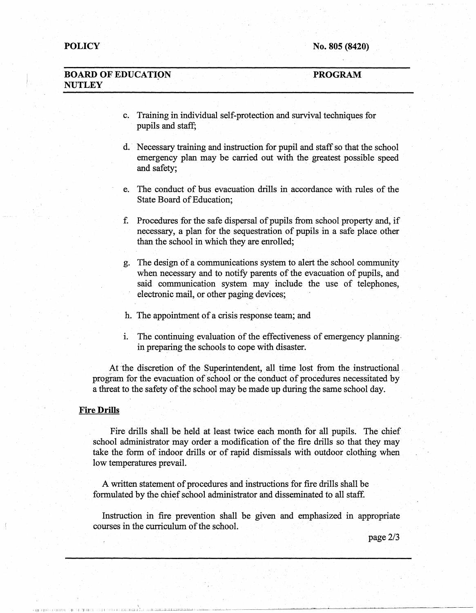#### **BOARD OF EDUCATION NUTLEY PROGRAM**

- c. Training in individual self-protection and survival techniques for pupils and staff;
- d. Necessary training and instruction for pupil and staff so that the school emergency plan may be carried out with the greatest possible speed and safety;
- e. The conduct of bus evacuation drills in accordance with rules of the State Board of Education;
- f. Procedures for the safe dispersal of pupils from school property and, if necessary, a plan for the sequestration of pupils in a safe place other than the school in which they are enrolled;
- g. The design of a communications system to alert the school community when necessary and to notify parents of the evacuation of pupils, and said communication system may include the use of telephones, electronic mail, or other paging devices;
- h. The appointment of a crisis response team; and
- i. The continuing evaluation of the effectiveness of emergency planning. in preparing the schools to cope with disaster.

At the discretion of the Superintendent, all time lost from the instructional program for the evacuation of school or the conduct of procedures necessitated by a threat to the safety of the school may be made up during the same school day.

#### **Fire Drills**

•Ill! 111]11,-, 1,

Fire drills shall be held at least twice each month for all pupils. The chief school administrator may order a modification of the fire drills so that they may take the form of indoor drills or of rapid dismissals with outdoor clothing when low temperatures prevail.

A written statement of procedures and instructions for fire drills shall be formulated by the chief school administrator and disseminated to all staff.

Instruction in fire prevention shall be given and emphasized in appropriate courses in the curriculum of the school.

page2/3